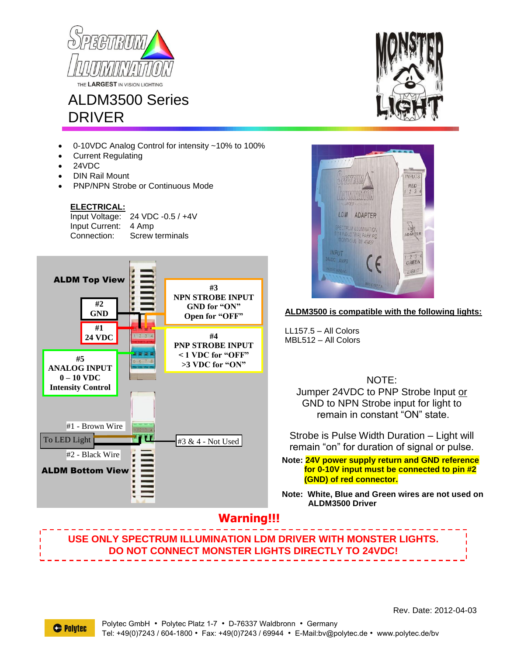

# ALDM3500 Series DRIVER

- 0-10VDC Analog Control for intensity ~10% to 100%
- Current Regulating
- 24VDC
- DIN Rail Mount
- PNP/NPN Strobe or Continuous Mode

#### **ELECTRICAL:**

Input Voltage: 24 VDC -0.5 / +4V Input Current: 4 Amp Connection: Screw terminals







#### **ALDM3500 is compatible with the following lights:**

LL157.5 – All Colors MBL512 – All Colors

NOTE:

Jumper 24VDC to PNP Strobe Input or GND to NPN Strobe input for light to remain in constant "ON" state.

Strobe is Pulse Width Duration – Light will remain "on" for duration of signal or pulse.

**Note: 24V power supply return and GND reference for 0-10V input must be connected to pin #2 (GND) of red connector.**

**Note: White, Blue and Green wires are not used on ALDM3500 Driver**

### **Warning!!!**

**USE ONLY SPECTRUM ILLUMINATION LDM DRIVER WITH MONSTER LIGHTS. DO NOT CONNECT MONSTER LIGHTS DIRECTLY TO 24VDC!**

Rev. Date: 2012-04-03